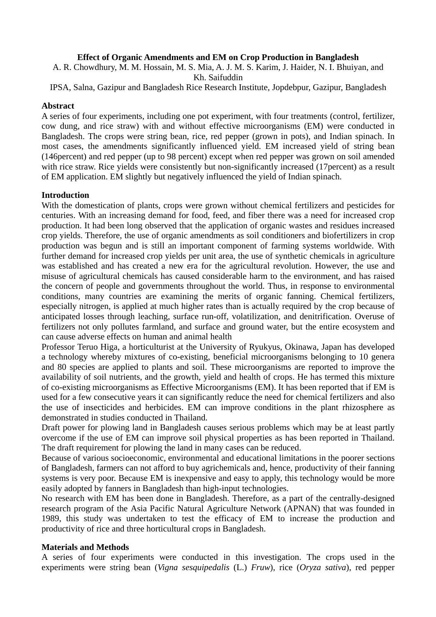## **Effect of Organic Amendments and EM on Crop Production in Bangladesh**

A. R. Chowdhury, M. M. Hossain, M. S. Mia, A. J. M. S. Karim, J. Haider, N. I. Bhuiyan, and Kh. Saifuddin

IPSA, Salna, Gazipur and Bangladesh Rice Research Institute, Jopdebpur, Gazipur, Bangladesh

### **Abstract**

A series of four experiments, including one pot experiment, with four treatments (control, fertilizer, cow dung, and rice straw) with and without effective microorganisms (EM) were conducted in Bangladesh. The crops were string bean, rice, red pepper (grown in pots), and Indian spinach. In most cases, the amendments significantly influenced yield. EM increased yield of string bean (146percent) and red pepper (up to 98 percent) except when red pepper was grown on soil amended with rice straw. Rice yields were consistently but non-significantly increased (17 percent) as a result of EM application. EM slightly but negatively influenced the yield of Indian spinach.

### **Introduction**

With the domestication of plants, crops were grown without chemical fertilizers and pesticides for centuries. With an increasing demand for food, feed, and fiber there was a need for increased crop production. It had been long observed that the application of organic wastes and residues increased crop yields. Therefore, the use of organic amendments as soil conditioners and biofertilizers in crop production was begun and is still an important component of farming systems worldwide. With further demand for increased crop yields per unit area, the use of synthetic chemicals in agriculture was established and has created a new era for the agricultural revolution. However, the use and misuse of agricultural chemicals has caused considerable harm to the environment, and has raised the concern of people and governments throughout the world. Thus, in response to environmental conditions, many countries are examining the merits of organic fanning. Chemical fertilizers, especially nitrogen, is applied at much higher rates than is actually required by the crop because of anticipated losses through leaching, surface run-off, volatilization, and denitrification. Overuse of fertilizers not only pollutes farmland, and surface and ground water, but the entire ecosystem and can cause adverse effects on human and animal health

Professor Teruo Higa, a horticulturist at the University of Ryukyus, Okinawa, Japan has developed a technology whereby mixtures of co-existing, beneficial microorganisms belonging to 10 genera and 80 species are applied to plants and soil. These microorganisms are reported to improve the availability of soil nutrients, and the growth, yield and health of crops. He has termed this mixture of co-existing microorganisms as Effective Microorganisms (EM). It has been reported that if EM is used for a few consecutive years it can significantly reduce the need for chemical fertilizers and also the use of insecticides and herbicides. EM can improve conditions in the plant rhizosphere as demonstrated in studies conducted in Thailand.

Draft power for plowing land in Bangladesh causes serious problems which may be at least partly overcome if the use of EM can improve soil physical properties as has been reported in Thailand. The draft requirement for plowing the land in many cases can be reduced.

Because of various socioeconomic, environmental and educational limitations in the poorer sections of Bangladesh, farmers can not afford to buy agrichemicals and, hence, productivity of their fanning systems is very poor. Because EM is inexpensive and easy to apply, this technology would be more easily adopted by fanners in Bangladesh than high-input technologies.

No research with EM has been done in Bangladesh. Therefore, as a part of the centrally-designed research program of the Asia Pacific Natural Agriculture Network (APNAN) that was founded in 1989, this study was undertaken to test the efficacy of EM to increase the production and productivity of rice and three horticultural crops in Bangladesh.

### **Materials and Methods**

A series of four experiments were conducted in this investigation. The crops used in the experiments were string bean (*Vigna sesquipedalis* (L.) *Fruw*), rice (*Oryza sativa*), red pepper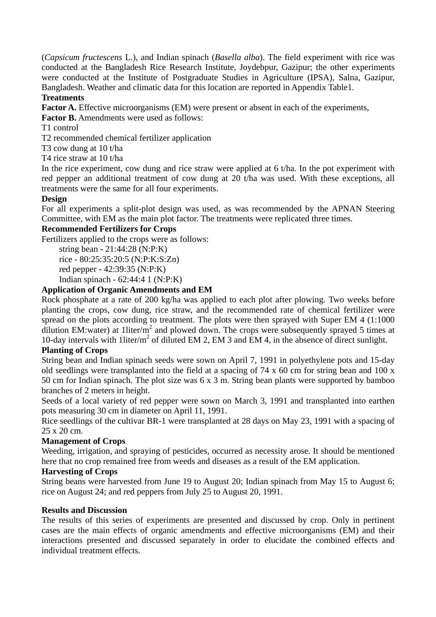(*Capsicum fructescens* L.), and Indian spinach (*Basella alba*). The field experiment with rice was conducted at the Bangladesh Rice Research Institute, Joydebpur, Gazipur; the other experiments were conducted at the Institute of Postgraduate Studies in Agriculture (IPSA), Salna, Gazipur, Bangladesh. Weather and climatic data for this location are reported in Appendix Table1.

## **Treatments**

Factor A. Effective microorganisms (EM) were present or absent in each of the experiments,

**Factor B.** Amendments were used as follows:

T1 control

T2 recommended chemical fertilizer application

T3 cow dung at 10 t/ha

T4 rice straw at 10 t/ha

In the rice experiment, cow dung and rice straw were applied at 6 t/ha. In the pot experiment with red pepper an additional treatment of cow dung at 20 t/ha was used. With these exceptions, all treatments were the same for all four experiments.

## **Design**

For all experiments a split-plot design was used, as was recommended by the APNAN Steering Committee, with EM as the main plot factor. The treatments were replicated three times.

## **Recommended Fertilizers for Crops**

Fertilizers applied to the crops were as follows:

string bean - 21:44:28 (N:P:K) rice - 80:25:35:20:5 (N:P:K:S:Zn) red pepper - 42:39:35 (N:P:K)

Indian spinach - 62:44:4 1 (N:P:K)

## **Application of Organic Amendments and EM**

Rock phosphate at a rate of 200 kg/ha was applied to each plot after plowing. Two weeks before planting the crops, cow dung, rice straw, and the recommended rate of chemical fertilizer were spread on the plots according to treatment. The plots were then sprayed with Super EM 4 (1:1000 dilution EM:water) at 1liter/ $m^2$  and plowed down. The crops were subsequently sprayed 5 times at 10-day intervals with 1liter/m<sup>2</sup> of diluted EM 2, EM 3 and EM 4, in the absence of direct sunlight.

## **Planting of Crops**

String bean and Indian spinach seeds were sown on April 7, 1991 in polyethylene pots and 15-day old seedlings were transplanted into the field at a spacing of 74 x 60 cm for string bean and 100 x 50 cm for Indian spinach. The plot size was 6 x 3 m. String bean plants were supported by bamboo branches of 2 meters in height.

Seeds of a local variety of red pepper were sown on March 3, 1991 and transplanted into earthen pots measuring 30 cm in diameter on April 11, 1991.

Rice seedlings of the cultivar BR-1 were transplanted at 28 days on May 23, 1991 with a spacing of 25 x 20 cm.

## **Management of Crops**

Weeding, irrigation, and spraying of pesticides, occurred as necessity arose. It should be mentioned here that no crop remained free from weeds and diseases as a result of the EM application.

## **Harvesting of Crops**

String beans were harvested from June 19 to August 20; Indian spinach from May 15 to August 6; rice on August 24; and red peppers from July 25 to August 20, 1991.

### **Results and Discussion**

The results of this series of experiments are presented and discussed by crop. Only in pertinent cases are the main effects of organic amendments and effective microorganisms (EM) and their interactions presented and discussed separately in order to elucidate the combined effects and individual treatment effects.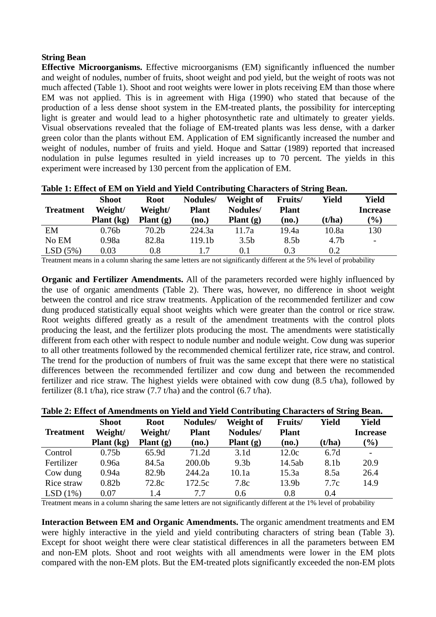### **String Bean**

**Effective Microorganisms.** Effective microorganisms (EM) significantly influenced the number and weight of nodules, number of fruits, shoot weight and pod yield, but the weight of roots was not much affected (Table 1). Shoot and root weights were lower in plots receiving EM than those where EM was not applied. This is in agreement with Higa (1990) who stated that because of the production of a less dense shoot system in the EM-treated plants, the possibility for intercepting light is greater and would lead to a higher photosynthetic rate and ultimately to greater yields. Visual observations revealed that the foliage of EM-treated plants was less dense, with a darker green color than the plants without EM. Application of EM significantly increased the number and weight of nodules, number of fruits and yield. Hoque and Sattar (1989) reported that increased nodulation in pulse legumes resulted in yield increases up to 70 percent. The yields in this experiment were increased by 130 percent from the application of EM.

| <b>Treatment</b> | <b>Shoot</b><br>Weight/<br>Plant $(kg)$ | <b>Root</b><br>Weight/<br>Plant $(g)$ | Nodules/<br><b>Plant</b><br>(no.) | Weight of<br>Nodules/<br>Plant $(g)$ | Fruits/<br><b>Plant</b><br>(no.) | <b>Yield</b><br>(t/ha) | Yield<br><b>Increase</b><br>(%) |
|------------------|-----------------------------------------|---------------------------------------|-----------------------------------|--------------------------------------|----------------------------------|------------------------|---------------------------------|
| EM               | 0.76 <sub>b</sub>                       | 70.2 <sub>b</sub>                     | 224.3a                            | 11.7a                                | 19.4a                            | 10.8a                  | 130                             |
| No EM            | 0.98a                                   | 82.8a                                 | 119.1b                            | 3.5 <sub>b</sub>                     | 8.5 <sub>b</sub>                 | 4.7 <sub>b</sub>       | $\overline{\phantom{a}}$        |
| LSD(5%)          | 0.03                                    | 0.8                                   |                                   | 0.1                                  | 0.3                              | 0.2                    |                                 |

**Table 1: Effect of EM on Yield and Yield Contributing Characters of String Bean.** 

Treatment means in a column sharing the same letters are not significantly different at the 5% level of probability

**Organic and Fertilizer Amendments.** All of the parameters recorded were highly influenced by the use of organic amendments (Table 2). There was, however, no difference in shoot weight between the control and rice straw treatments. Application of the recommended fertilizer and cow dung produced statistically equal shoot weights which were greater than the control or rice straw. Root weights differed greatly as a result of the amendment treatments with the control plots producing the least, and the fertilizer plots producing the most. The amendments were statistically different from each other with respect to nodule number and nodule weight. Cow dung was superior to all other treatments followed by the recommended chemical fertilizer rate, rice straw, and control. The trend for the production of numbers of fruit was the same except that there were no statistical differences between the recommended fertilizer and cow dung and between the recommended fertilizer and rice straw. The highest yields were obtained with cow dung (8.5 t/ha), followed by fertilizer (8.1 t/ha), rice straw (7.7 t/ha) and the control (6.7 t/ha).

| Table 2: Effect of Amendments on Yield and Yield Contributing Characters of String Bean. |                         |                        |                          |                       |                         |        |                          |  |  |
|------------------------------------------------------------------------------------------|-------------------------|------------------------|--------------------------|-----------------------|-------------------------|--------|--------------------------|--|--|
| <b>Treatment</b>                                                                         | <b>Shoot</b><br>Weight/ | <b>Root</b><br>Weight/ | Nodules/<br><b>Plant</b> | Weight of<br>Nodules/ | Fruits/<br><b>Plant</b> | Yield  | Yield<br><b>Increase</b> |  |  |
|                                                                                          | Plant $(kg)$            | Plant $(g)$            | (no.)                    | Plant $(g)$           | (no.)                   | (t/ha) | $(\%)$                   |  |  |
| Control                                                                                  | 0.75 <sub>b</sub>       | 65.9d                  | 71.2d                    | 3.1 <sub>d</sub>      | 12.0c                   | 6.7d   |                          |  |  |
| Fertilizer                                                                               | 0.96a                   | 84.5a                  | 200.0b                   | 9.3 <sub>b</sub>      | 14.5ab                  | 8.1b   | 20.9                     |  |  |
| Cow dung                                                                                 | 0.94a                   | 82.9b                  | 244.2a                   | 10.1a                 | 15.3a                   | 8.5a   | 26.4                     |  |  |
| Rice straw                                                                               | 0.82 <sub>b</sub>       | 72.8c                  | 172.5c                   | 7.8c                  | 13.9 <sub>b</sub>       | 7.7c   | 14.9                     |  |  |
| LSD(1%)                                                                                  | 0.07                    | 1.4                    | 7.7                      | $0.6^{\circ}$         | 0.8                     | 0.4    |                          |  |  |

**Table 2: Effect of Amendments on Yield and Yield Contributing Characters of String Bean.** 

Treatment means in a column sharing the same letters are not significantly different at the 1% level of probability

**Interaction Between EM and Organic Amendments.** The organic amendment treatments and EM were highly interactive in the yield and yield contributing characters of string bean (Table 3). Except for shoot weight there were clear statistical differences in all the parameters between EM and non-EM plots. Shoot and root weights with all amendments were lower in the EM plots compared with the non-EM plots. But the EM-treated plots significantly exceeded the non-EM plots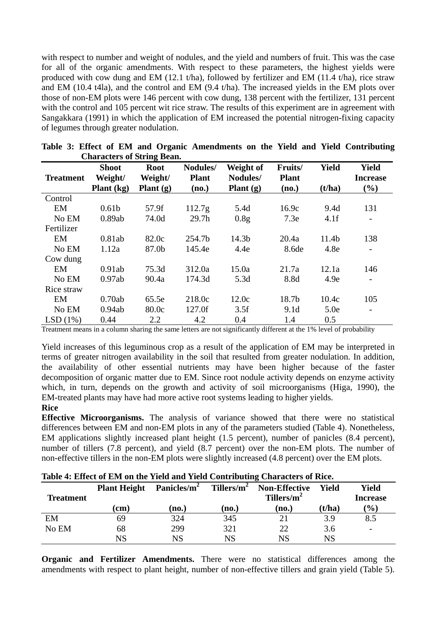with respect to number and weight of nodules, and the yield and numbers of fruit. This was the case for all of the organic amendments. With respect to these parameters, the highest yields were produced with cow dung and EM (12.1 t/ha), followed by fertilizer and EM (11.4 t/ha), rice straw and EM (10.4 t4la), and the control and EM (9.4 t/ha). The increased yields in the EM plots over those of non-EM plots were 146 percent with cow dung, 138 percent with the fertilizer, 131 percent with the control and 105 percent wit rice straw. The results of this experiment are in agreement with Sangakkara (1991) in which the application of EM increased the potential nitrogen-fixing capacity of legumes through greater nodulation.

| $\epsilon$ <sup>1</sup> |                                         |                                       |                                   |                                      |                                  |                        |                                           |
|-------------------------|-----------------------------------------|---------------------------------------|-----------------------------------|--------------------------------------|----------------------------------|------------------------|-------------------------------------------|
| <b>Treatment</b>        | <b>Shoot</b><br>Weight/<br>Plant $(kg)$ | <b>Root</b><br>Weight/<br>Plant $(g)$ | Nodules/<br><b>Plant</b><br>(no.) | Weight of<br>Nodules/<br>Plant $(g)$ | Fruits/<br><b>Plant</b><br>(no.) | <b>Yield</b><br>(t/ha) | <b>Yield</b><br><b>Increase</b><br>$(\%)$ |
| Control                 |                                         |                                       |                                   |                                      |                                  |                        |                                           |
| EM                      | 0.61 <sub>b</sub>                       | 57.9f                                 | 112.7 <sub>g</sub>                | 5.4d                                 | 16.9c                            | 9.4d                   | 131                                       |
| No EM                   | 0.89ab                                  | 74.0d                                 | 29.7 <sub>h</sub>                 | 0.8 <sub>g</sub>                     | 7.3e                             | 4.1f                   | $\overline{\phantom{a}}$                  |
| Fertilizer              |                                         |                                       |                                   |                                      |                                  |                        |                                           |
| EM                      | 0.81ab                                  | 82.0c                                 | 254.7b                            | 14.3b                                | 20.4a                            | 11.4b                  | 138                                       |
| No EM                   | 1.12a                                   | 87.0b                                 | 145.4e                            | 4.4e                                 | 8.6de                            | 4.8e                   | $\overline{\phantom{a}}$                  |
| Cow dung                |                                         |                                       |                                   |                                      |                                  |                        |                                           |
| EM                      | 0.91ab                                  | 75.3d                                 | 312.0a                            | 15.0a                                | 21.7a                            | 12.1a                  | 146                                       |
| No EM                   | 0.97ab                                  | 90.4a                                 | 174.3d                            | 5.3d                                 | 8.8d                             | 4.9e                   |                                           |
| Rice straw              |                                         |                                       |                                   |                                      |                                  |                        |                                           |
| EM                      | 0.70ab                                  | 65.5e                                 | 218.0c                            | 12.0c                                | 18.7b                            | 10.4c                  | 105                                       |
| No EM                   | 0.94ab                                  | 80.0c                                 | 127.0f                            | 3.5f                                 | 9.1 <sub>d</sub>                 | 5.0e                   | -                                         |
| LSD(1%)                 | 0.44                                    | 2.2                                   | 4.2                               | 0.4                                  | 1.4                              | 0.5                    |                                           |

**Table 3: Effect of EM and Organic Amendments on the Yield and Yield Contributing Characters of String Bean.** 

Treatment means in a column sharing the same letters are not significantly different at the 1% level of probability

Yield increases of this leguminous crop as a result of the application of EM may be interpreted in terms of greater nitrogen availability in the soil that resulted from greater nodulation. In addition, the availability of other essential nutrients may have been higher because of the faster decomposition of organic matter due to EM. Since root nodule activity depends on enzyme activity which, in turn, depends on the growth and activity of soil microorganisms (Higa, 1990), the EM-treated plants may have had more active root systems leading to higher yields.

#### **Rice**

**Effective Microorganisms.** The analysis of variance showed that there were no statistical differences between EM and non-EM plots in any of the parameters studied (Table 4). Nonetheless, EM applications slightly increased plant height (1.5 percent), number of panicles (8.4 percent), number of tillers (7.8 percent), and yield (8.7 percent) over the non-EM plots. The number of non-effective tillers in the non-EM plots were slightly increased (4.8 percent) over the EM plots.

| <b>Treatment</b> | Panicles/m <sup>2</sup><br><b>Plant Height</b> |       | Tillers/ $m^2$ | <b>Non-Effective</b><br>Tillers/ $m^2$ | Yield  | Yield<br><b>Increase</b> |
|------------------|------------------------------------------------|-------|----------------|----------------------------------------|--------|--------------------------|
|                  | (cm)                                           | (no.) | (no.)          | (no.)                                  | (t/ha) | $\frac{1}{2}$            |
| EM               | 69                                             | 324   | 345            | 21                                     | 3.9    | 8.5                      |
| No EM            | 68                                             | 299   | 321            | 22                                     | 3.6    | -                        |
|                  | NS                                             | NS    | NS             | NS                                     | NS     |                          |

### **Table 4: Effect of EM on the Yield and Yield Contributing Characters of Rice.**

**Organic and Fertilizer Amendments.** There were no statistical differences among the amendments with respect to plant height, number of non-effective tillers and grain yield (Table 5).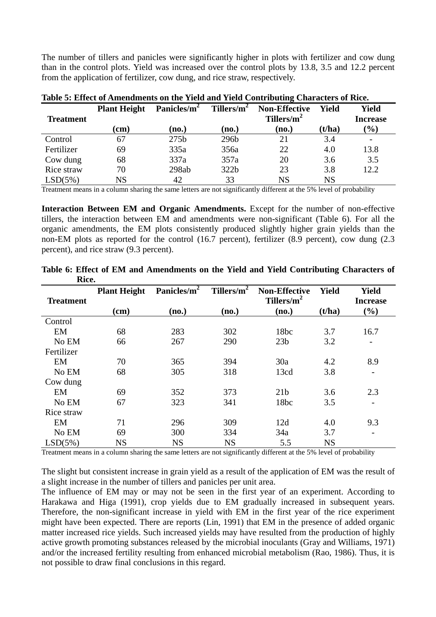The number of tillers and panicles were significantly higher in plots with fertilizer and cow dung than in the control plots. Yield was increased over the control plots by 13.8, 3.5 and 12.2 percent from the application of fertilizer, cow dung, and rice straw, respectively.

| <b>Treatment</b> | <b>Plant Height</b> | Panicles/m <sup>2</sup> | Tillers/ $m^2$ | <b>Non-Effective</b><br>Tillers/ $m^2$ | <b>Yield</b> | <b>Yield</b><br><b>Increase</b> |
|------------------|---------------------|-------------------------|----------------|----------------------------------------|--------------|---------------------------------|
|                  | (cm)                | (no.)                   | (no.)          | (no.)                                  | (t/ha)       | $\frac{1}{2}$                   |
| Control          | 67                  | 275 <sub>b</sub>        | 296b           | 21                                     | 3.4          |                                 |
| Fertilizer       | 69                  | 335a                    | 356a           | 22                                     | 4.0          | 13.8                            |
| Cow dung         | 68                  | 337a                    | 357a           | 20                                     | 3.6          | 3.5                             |
| Rice straw       | 70                  | 298ab                   | 322b           | 23                                     | 3.8          | 12.2                            |
| LSD(5%)          | NS                  | 42                      | 33             | NS                                     | <b>NS</b>    |                                 |

**Table 5: Effect of Amendments on the Yield and Yield Contributing Characters of Rice.** 

Treatment means in a column sharing the same letters are not significantly different at the 5% level of probability

**Interaction Between EM and Organic Amendments.** Except for the number of non-effective tillers, the interaction between EM and amendments were non-significant (Table 6). For all the organic amendments, the EM plots consistently produced slightly higher grain yields than the non-EM plots as reported for the control (16.7 percent), fertilizer (8.9 percent), cow dung (2.3 percent), and rice straw (9.3 percent).

| <b>Treatment</b> | <b>Plant Height</b> | Panicles/ $\overline{m^2}$ | Tillers/ $m^2$ | <b>Non-Effective</b><br>Tillers/m <sup>2</sup> | <b>Yield</b> | <b>Yield</b><br><b>Increase</b> |
|------------------|---------------------|----------------------------|----------------|------------------------------------------------|--------------|---------------------------------|
|                  | $(cm)$              | (no.)                      | (no.)          | (no.)                                          | (t/ha)       | $(\%)$                          |
| Control          |                     |                            |                |                                                |              |                                 |
| EM               | 68                  | 283                        | 302            | 18bc                                           | 3.7          | 16.7                            |
| No EM            | 66                  | 267                        | 290            | 23 <sub>b</sub>                                | 3.2          | -                               |
| Fertilizer       |                     |                            |                |                                                |              |                                 |
| EM               | 70                  | 365                        | 394            | 30a                                            | 4.2          | 8.9                             |
| No EM            | 68                  | 305                        | 318            | 13cd                                           | 3.8          |                                 |
| Cow dung         |                     |                            |                |                                                |              |                                 |
| EM               | 69                  | 352                        | 373            | 21 <sub>b</sub>                                | 3.6          | 2.3                             |
| No EM            | 67                  | 323                        | 341            | 18bc                                           | 3.5          | $\overline{\phantom{a}}$        |
| Rice straw       |                     |                            |                |                                                |              |                                 |
| EM               | 71                  | 296                        | 309            | 12d                                            | 4.0          | 9.3                             |
| No EM            | 69                  | 300                        | 334            | 34a                                            | 3.7          | $\overline{\phantom{0}}$        |
| LSD(5%)          | <b>NS</b>           | <b>NS</b>                  | <b>NS</b>      | 5.5                                            | <b>NS</b>    |                                 |

**Table 6: Effect of EM and Amendments on the Yield and Yield Contributing Characters of Rice.** 

Treatment means in a column sharing the same letters are not significantly different at the 5% level of probability

The slight but consistent increase in grain yield as a result of the application of EM was the result of a slight increase in the number of tillers and panicles per unit area.

The influence of EM may or may not be seen in the first year of an experiment. According to Harakawa and Higa (1991), crop yields due to EM gradually increased in subsequent years. Therefore, the non-significant increase in yield with EM in the first year of the rice experiment might have been expected. There are reports (Lin, 1991) that EM in the presence of added organic matter increased rice yields. Such increased yields may have resulted from the production of highly active growth promoting substances released by the microbial inoculants (Gray and Williams, 1971) and/or the increased fertility resulting from enhanced microbial metabolism (Rao, 1986). Thus, it is not possible to draw final conclusions in this regard.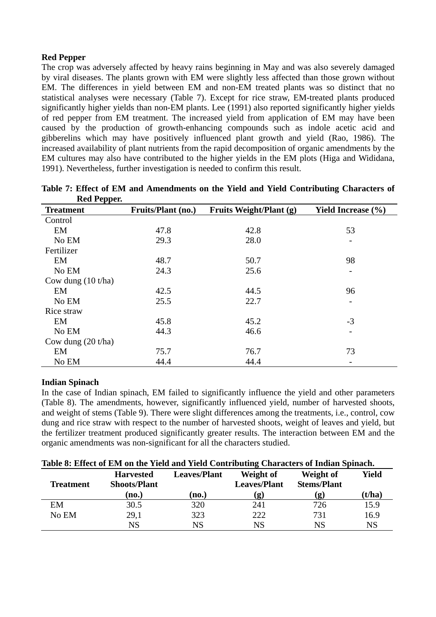# **Red Pepper**

The crop was adversely affected by heavy rains beginning in May and was also severely damaged by viral diseases. The plants grown with EM were slightly less affected than those grown without EM. The differences in yield between EM and non-EM treated plants was so distinct that no statistical analyses were necessary (Table 7). Except for rice straw, EM-treated plants produced significantly higher yields than non-EM plants. Lee (1991) also reported significantly higher yields of red pepper from EM treatment. The increased yield from application of EM may have been caused by the production of growth-enhancing compounds such as indole acetic acid and gibberelins which may have positively influenced plant growth and yield (Rao, 1986). The increased availability of plant nutrients from the rapid decomposition of organic amendments by the EM cultures may also have contributed to the higher yields in the EM plots (Higa and Wididana, 1991). Nevertheless, further investigation is needed to confirm this result.

| <b>Treatment</b>     | <b>Fruits/Plant (no.)</b> | Fruits Weight/Plant (g) | <b>Yield Increase</b> (%) |
|----------------------|---------------------------|-------------------------|---------------------------|
| Control              |                           |                         |                           |
| EM                   | 47.8                      | 42.8                    | 53                        |
| No EM                | 29.3                      | 28.0                    |                           |
| Fertilizer           |                           |                         |                           |
| EM                   | 48.7                      | 50.7                    | 98                        |
| No EM                | 24.3                      | 25.6                    |                           |
| Cow dung $(10 t/ha)$ |                           |                         |                           |
| EM                   | 42.5                      | 44.5                    | 96                        |
| No EM                | 25.5                      | 22.7                    | -                         |
| Rice straw           |                           |                         |                           |
| EM                   | 45.8                      | 45.2                    | $-3$                      |
| No EM                | 44.3                      | 46.6                    |                           |
| Cow dung $(20 t/ha)$ |                           |                         |                           |
| EM                   | 75.7                      | 76.7                    | 73                        |
| No EM                | 44.4                      | 44.4                    |                           |

| Table 7: Effect of EM and Amendments on the Yield and Yield Contributing Characters of |  |  |  |
|----------------------------------------------------------------------------------------|--|--|--|
| <b>Red Pepper.</b>                                                                     |  |  |  |

### **Indian Spinach**

In the case of Indian spinach, EM failed to significantly influence the yield and other parameters (Table 8). The amendments, however, significantly influenced yield, number of harvested shoots, and weight of stems (Table 9). There were slight differences among the treatments, i.e., control, cow dung and rice straw with respect to the number of harvested shoots, weight of leaves and yield, but the fertilizer treatment produced significantly greater results. The interaction between EM and the organic amendments was non-significant for all the characters studied.

| Table 8: Effect of EM on the Yield and Yield Contributing Characters of Indian Spinach. |                                                                                                             |  |                           |                           |                        |
|-----------------------------------------------------------------------------------------|-------------------------------------------------------------------------------------------------------------|--|---------------------------|---------------------------|------------------------|
|                                                                                         | $\mathbf{H}_{\text{2}}$ and $\mathbf{H}_{\text{3}}$ and $\mathbf{H}_{\text{3}}$ are $\mathbf{H}_{\text{3}}$ |  | $\mathbf{W}$ $\mathbf{U}$ | $\mathbf{W}$ $\mathbf{U}$ | $\mathbf{V}^2$ . I . I |

| <b>Treatment</b> | <b>Harvested</b><br><b>Shoots/Plant</b> | <b>Leaves/Plant</b> | Weight of<br><b>Leaves/Plant</b> | Weight of<br><b>Stems/Plant</b> | Yield           |
|------------------|-----------------------------------------|---------------------|----------------------------------|---------------------------------|-----------------|
|                  | (no.)                                   | (no.)               | $\left( \mathbf{g}\right)$       | (g)                             | ( <b>t/ha</b> ) |
| EM               | 30.5                                    | 320                 | 241                              | 726                             | 15.9            |
| No EM            | 29,1                                    | 323                 | 222                              | 731                             | 16.9            |
|                  | $_{\rm NS}$                             | $_{\rm NS}$         | NS                               | $_{\rm NS}$                     | $_{\rm NS}$     |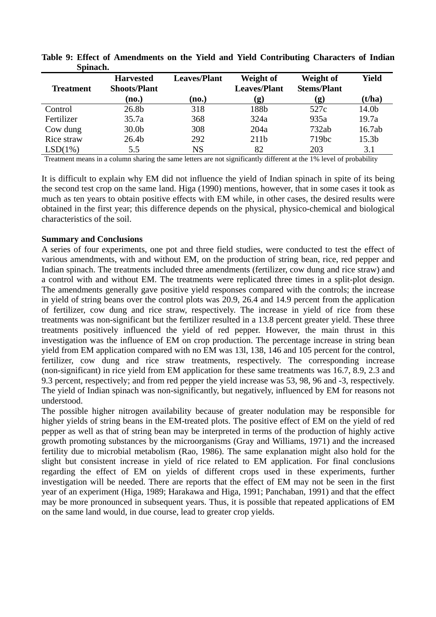| <u>UWARA URI</u> |                                         |                     |                                  |                                 |                   |
|------------------|-----------------------------------------|---------------------|----------------------------------|---------------------------------|-------------------|
| <b>Treatment</b> | <b>Harvested</b><br><b>Shoots/Plant</b> | <b>Leaves/Plant</b> | Weight of<br><b>Leaves/Plant</b> | Weight of<br><b>Stems/Plant</b> | <b>Yield</b>      |
|                  | (no.)                                   | (no.)               | (g)                              | (g)                             | (t/ha)            |
| Control          | 26.8b                                   | 318                 | 188b                             | 527c                            | 14.0b             |
| Fertilizer       | 35.7a                                   | 368                 | 324a                             | 935a                            | 19.7a             |
| Cow dung         | 30.0 <sub>b</sub>                       | 308                 | 204a                             | 732ab                           | 16.7ab            |
| Rice straw       | 26.4 <sub>b</sub>                       | 292                 | 211 <sub>b</sub>                 | 719bc                           | 15.3 <sub>b</sub> |
| LSD(1%)          | 5.5                                     | NS                  | 82                               | 203                             | 3.1               |

**Table 9: Effect of Amendments on the Yield and Yield Contributing Characters of Indian Spinach.** 

Treatment means in a column sharing the same letters are not significantly different at the 1% level of probability

It is difficult to explain why EM did not influence the yield of Indian spinach in spite of its being the second test crop on the same land. Higa (1990) mentions, however, that in some cases it took as much as ten years to obtain positive effects with EM while, in other cases, the desired results were obtained in the first year; this difference depends on the physical, physico-chemical and biological characteristics of the soil.

#### **Summary and Conclusions**

A series of four experiments, one pot and three field studies, were conducted to test the effect of various amendments, with and without EM, on the production of string bean, rice, red pepper and Indian spinach. The treatments included three amendments (fertilizer, cow dung and rice straw) and a control with and without EM. The treatments were replicated three times in a split-plot design. The amendments generally gave positive yield responses compared with the controls; the increase in yield of string beans over the control plots was 20.9, 26.4 and 14.9 percent from the application of fertilizer, cow dung and rice straw, respectively. The increase in yield of rice from these treatments was non-significant but the fertilizer resulted in a 13.8 percent greater yield. These three treatments positively influenced the yield of red pepper. However, the main thrust in this investigation was the influence of EM on crop production. The percentage increase in string bean yield from EM application compared with no EM was 13l, 138, 146 and 105 percent for the control, fertilizer, cow dung and rice straw treatments, respectively. The corresponding increase (non-significant) in rice yield from EM application for these same treatments was 16.7, 8.9, 2.3 and 9.3 percent, respectively; and from red pepper the yield increase was 53, 98, 96 and -3, respectively. The yield of Indian spinach was non-significantly, but negatively, influenced by EM for reasons not understood.

The possible higher nitrogen availability because of greater nodulation may be responsible for higher yields of string beans in the EM-treated plots. The positive effect of EM on the yield of red pepper as well as that of string bean may be interpreted in terms of the production of highly active growth promoting substances by the microorganisms (Gray and Williams, 1971) and the increased fertility due to microbial metabolism (Rao, 1986). The same explanation might also hold for the slight but consistent increase in yield of rice related to EM application. For final conclusions regarding the effect of EM on yields of different crops used in these experiments, further investigation will be needed. There are reports that the effect of EM may not be seen in the first year of an experiment (Higa, 1989; Harakawa and Higa, 1991; Panchaban, 1991) and that the effect may be more pronounced in subsequent years. Thus, it is possible that repeated applications of EM on the same land would, in due course, lead to greater crop yields.